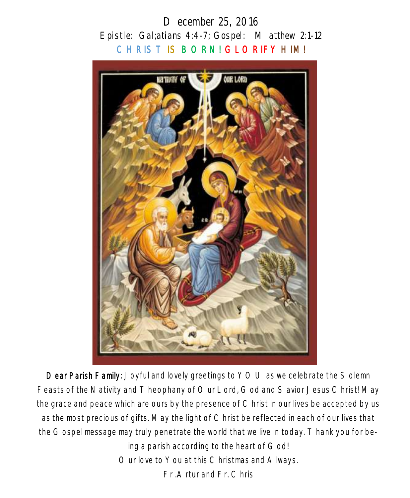# *December 25, 2016 Epistle: Gal;atians 4:4-7; Gospel: Matthew 2:1-12*  CHRIST IS BORN! GLORIFY HIM!



Dear Parish Family: Joyful and lovely greetings to YOU as we celebrate the Solemn Feasts of the Nativity and Theophany of Our Lord, God and Savior Jesus Christ! May the grace and peace which are ours by the presence of Christ in our lives be accepted by us as the most precious of gifts. May the light of Christ be reflected in each of our lives that the Gospel message may truly penetrate the world that we live in today. Thank you for being a parish according to the heart of God! Our love to You at this Christmas and A lways. Fr .Artur and Fr. Chris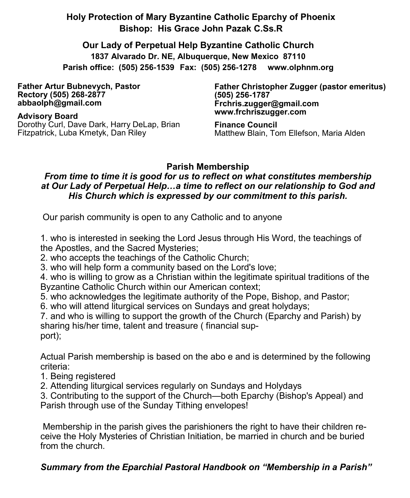## **Holy Protection of Mary Byzantine Catholic Eparchy of Phoenix Bishop: His Grace John Pazak C.Ss.R**

**Our Lady of Perpetual Help Byzantine Catholic Church 1837 Alvarado Dr. NE, Albuquerque, New Mexico 87110 Parish office: (505) 256-1539 Fax: (505) 256-1278 www.olphnm.org**

**Father Artur Bubnevych, Pastor Rectory (505) 268-2877 abbaolph@gmail.com** 

**Advisory Board**  Dorothy Curl, Dave Dark, Harry DeLap, Brian Fitzpatrick, Luba Kmetyk, Dan Riley

**Father Christopher Zugger (pastor emeritus) (505) 256-1787 Frchris.zugger@gmail.com www.frchriszugger.com** 

**Finance Council**  Matthew Blain, Tom Ellefson, Maria Alden

### **Parish Membership**

#### *From time to time it is good for us to reflect on what constitutes membership at Our Lady of Perpetual Help…a time to reflect on our relationship to God and His Church which is expressed by our commitment to this parish.*

Our parish community is open to any Catholic and to anyone

1. who is interested in seeking the Lord Jesus through His Word, the teachings of the Apostles, and the Sacred Mysteries;

2. who accepts the teachings of the Catholic Church;

3. who will help form a community based on the Lord's love;

4. who is willing to grow as a Christian within the legitimate spiritual traditions of the Byzantine Catholic Church within our American context;

5. who acknowledges the legitimate authority of the Pope, Bishop, and Pastor;

6. who will attend liturgical services on Sundays and great holydays;

7. and who is willing to support the growth of the Church (Eparchy and Parish) by sharing his/her time, talent and treasure ( financial support);

Actual Parish membership is based on the abo e and is determined by the following criteria:

- 1. Being registered
- 2. Attending liturgical services regularly on Sundays and Holydays

3. Contributing to the support of the Church—both Eparchy (Bishop's Appeal) and Parish through use of the Sunday Tithing envelopes!

Membership in the parish gives the parishioners the right to have their children receive the Holy Mysteries of Christian Initiation, be married in church and be buried from the church.

## *Summary from the Eparchial Pastoral Handbook on "Membership in a Parish"*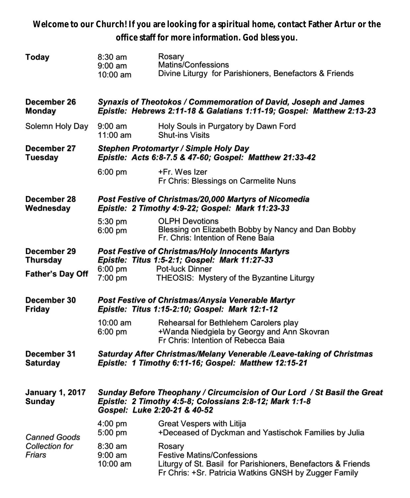**Welcome to our Church! If you are looking for a spiritual home, contact Father Artur or the office staff for more information. God bless you.**

| <b>Today</b>                                    | $8:30$ am<br>$9:00$ am<br>10:00 am                                                                                                                                 | Rosary<br>Matins/Confessions<br>Divine Liturgy for Parishioners, Benefactors & Friends                                                                               |  |  |
|-------------------------------------------------|--------------------------------------------------------------------------------------------------------------------------------------------------------------------|----------------------------------------------------------------------------------------------------------------------------------------------------------------------|--|--|
| December 26<br><b>Monday</b>                    | Synaxis of Theotokos / Commemoration of David, Joseph and James<br>Epistle: Hebrews 2:11-18 & Galatians 1:11-19; Gospel: Matthew 2:13-23                           |                                                                                                                                                                      |  |  |
| Solemn Holy Day                                 | $9:00$ am<br>$11:00$ am                                                                                                                                            | Holy Souls in Purgatory by Dawn Ford<br><b>Shut-ins Visits</b>                                                                                                       |  |  |
| December 27<br><b>Tuesday</b>                   | Stephen Protomartyr / Simple Holy Day<br>Epistle: Acts 6:8-7.5 & 47-60; Gospel: Matthew 21:33-42                                                                   |                                                                                                                                                                      |  |  |
|                                                 | $6:00$ pm                                                                                                                                                          | +Fr. Wes Izer<br>Fr Chris: Blessings on Carmelite Nuns                                                                                                               |  |  |
| December 28<br>Wednesday                        |                                                                                                                                                                    | Post Festive of Christmas/20,000 Martyrs of Nicomedia<br>Epistle: 2 Timothy 4:9-22; Gospel: Mark 11:23-33                                                            |  |  |
|                                                 | 5:30 pm<br>6:00 pm                                                                                                                                                 | <b>OLPH Devotions</b><br>Blessing on Elizabeth Bobby by Nancy and Dan Bobby<br>Fr. Chris: Intention of Rene Baia                                                     |  |  |
| December 29<br><b>Thursday</b>                  | <b>Post Festive of Christmas/Holy Innocents Martyrs</b><br>Epistle: Titus 1:5-2:1; Gospel: Mark 11:27-33                                                           |                                                                                                                                                                      |  |  |
| <b>Father's Day Off</b>                         | $6:00$ pm<br>7:00 pm                                                                                                                                               | Pot-luck Dinner<br>THEOSIS: Mystery of the Byzantine Liturgy                                                                                                         |  |  |
| December 30<br><b>Friday</b>                    | Post Festive of Christmas/Anysia Venerable Martyr<br>Epistle: Titus 1:15-2:10; Gospel: Mark 12:1-12                                                                |                                                                                                                                                                      |  |  |
|                                                 | 10:00 am<br>6:00 pm                                                                                                                                                | Rehearsal for Bethlehem Carolers play<br>+Wanda Niedgiela by Georgy and Ann Skovran<br>Fr Chris: Intention of Rebecca Baia                                           |  |  |
| December 31<br><b>Saturday</b>                  | Saturday After Christmas/Melany Venerable /Leave-taking of Christmas<br>Epistle: 1 Timothy 6:11-16; Gospel: Matthew 12:15-21                                       |                                                                                                                                                                      |  |  |
| <b>January 1, 2017</b><br><b>Sunday</b>         | Sunday Before Theophany / Circumcision of Our Lord / St Basil the Great<br>Epistle: 2 Timothy 4:5-8; Colossians 2:8-12; Mark 1:1-8<br>Gospel: Luke 2:20-21 & 40-52 |                                                                                                                                                                      |  |  |
| <b>Canned Goods</b><br>Collection for<br>Friars | $4:00$ pm<br>5:00 pm                                                                                                                                               | Great Vespers with Litija<br>+Deceased of Dyckman and Yastischok Families by Julia                                                                                   |  |  |
|                                                 | $8:30$ am<br>$9:00$ am<br>10:00 am                                                                                                                                 | Rosary<br><b>Festive Matins/Confessions</b><br>Liturgy of St. Basil for Parishioners, Benefactors & Friends<br>Fr Chris: +Sr. Patricia Watkins GNSH by Zugger Family |  |  |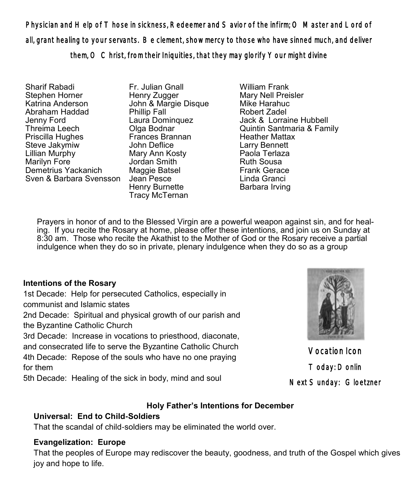Physician and Help of Those in sickness, Redeemer and Savior of the infirm; O Master and Lord of all, grant healing to your servants. Be clement, show mercy to those who have sinned much, and deliver them, O Christ, from their Iniquities, that they may glorify Your might divine

Sharif Rabadi Stephen Horner Katrina Anderson Abraham Haddad Jenny Ford Threima Leech Priscilla Hughes Steve Jakymiw Lillian Murphy Marilyn Fore Demetrius Yackanich Sven & Barbara Svensson Jean Pesce

Fr. Julian Gnall Henry Zugger John & Margie Disque Phillip Fall Laura Dominquez Olga Bodnar Frances Brannan John Deflice Mary Ann Kosty Jordan Smith Maggie Batsel Henry Burnette Tracy McTernan

William Frank Mary Nell Preisler Mike Harahuc Robert Zadel Jack & Lorraine Hubbell Quintin Santmaria & Family Heather Mattax Larry Bennett Paola Terlaza Ruth Sousa Frank Gerace Linda Granci Barbara Irving

Prayers in honor of and to the Blessed Virgin are a powerful weapon against sin, and for healing. If you recite the Rosary at home, please offer these intentions, and join us on Sunday at 8:30 am. Those who recite the Akathist to the Mother of God or the Rosary receive a partial indulgence when they do so in private, plenary indulgence when they do so as a group

#### **Intentions of the Rosary**

1st Decade: Help for persecuted Catholics, especially in communist and Islamic states

2nd Decade: Spiritual and physical growth of our parish and the Byzantine Catholic Church

3rd Decade: Increase in vocations to priesthood, diaconate,

and consecrated life to serve the Byzantine Catholic Church 4th Decade: Repose of the souls who have no one praying

for them

5th Decade: Healing of the sick in body, mind and soul

#### **Holy Father's Intentions for December**

### **Universal: End to Child-Soldiers**

That the scandal of child-soldiers may be eliminated the world over.

#### **Evangelization: Europe**

That the peoples of Europe may rediscover the beauty, goodness, and truth of the Gospel which gives joy and hope to life.



Vocation Icon Today: Donlin Next Sunday: Gloetzner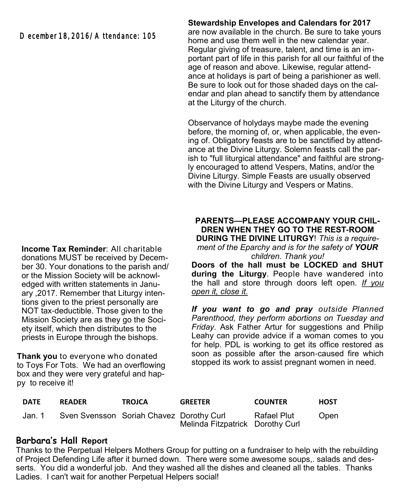December 18, 2016/A ttendance: 105

**Income Tax Reminder**: All charitable donations MUST be received by December 30. Your donations to the parish and/ or the Mission Society will be acknowledged with written statements in January ,2017. Remember that Liturgy intentions given to the priest personally are NOT tax-deductible. Those given to the Mission Society are as they go the Society itself, which then distributes to the priests in Europe through the bishops.

**Thank you** to everyone who donated to Toys For Tots. We had an overflowing box and they were very grateful and happy to receive it!

#### **Stewardship Envelopes and Calendars for 2017**

are now available in the church. Be sure to take yours home and use them well in the new calendar year. Regular giving of treasure, talent, and time is an important part of life in this parish for all our faithful of the age of reason and above. Likewise, regular attendance at holidays is part of being a parishioner as well. Be sure to look out for those shaded days on the calendar and plan ahead to sanctify them by attendance at the Liturgy of the church.

Observance of holydays maybe made the evening before, the morning of, or, when applicable, the evening of. Obligatory feasts are to be sanctified by attendance at the Divine Liturgy. Solemn feasts call the parish to "full liturgical attendance" and faithful are strongly encouraged to attend Vespers, Matins, and/or the Divine Liturgy. Simple Feasts are usually observed with the Divine Liturgy and Vespers or Matins.

#### **PARENTS—PLEASE ACCOMPANY YOUR CHIL-DREN WHEN THEY GO TO THE REST-ROOM DURING THE DIVINE LITURGY**! *This is a requirement of the Eparchy and is for the safety of YOUR children. Thank you!*

**Doors of the hall must be LOCKED and SHUT during the Liturgy**. People have wandered into the hall and store through doors left open. *If you open it, close it.* 

*If you want to go and pray outside Planned Parenthood, they perform abortions on Tuesday and Friday.* Ask Father Artur for suggestions and Philip Leahy can provide advice if a woman comes to you for help. PDL is working to get its office restored as soon as possible after the arson-caused fire which stopped its work to assist pregnant women in need.

| <b>DATE</b> | <b>READER</b>                            | <b>TROJCA</b> | <b>GREETER</b>                   | <b>COUNTER</b> | HOST |
|-------------|------------------------------------------|---------------|----------------------------------|----------------|------|
| Jan. 1      | Sven Svensson Soriah Chavez Dorothy Curl |               | Melinda Fitzpatrick Dorothy Curl | Rafael Plut    | Open |

#### **Barbara's Hall Report**

Thanks to the Perpetual Helpers Mothers Group for putting on a fundraiser to help with the rebuilding of Project Defending Life after it burned down. There were some awesome soups,. salads and desserts. You did a wonderful job. And they washed all the dishes and cleaned all the tables. Thanks Ladies. I can't wait for another Perpetual Helpers social!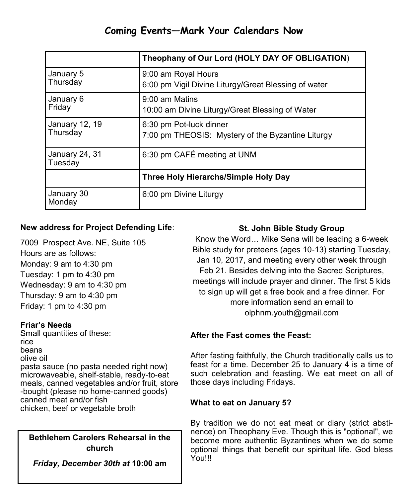## **Coming Events—Mark Your Calendars Now**

|                            | Theophany of Our Lord (HOLY DAY OF OBLIGATION)                               |  |
|----------------------------|------------------------------------------------------------------------------|--|
| January 5<br>Thursday      | 9:00 am Royal Hours<br>6:00 pm Vigil Divine Liturgy/Great Blessing of water  |  |
| January 6<br>Friday        | 9:00 am Matins<br>10:00 am Divine Liturgy/Great Blessing of Water            |  |
| January 12, 19<br>Thursday | 6:30 pm Pot-luck dinner<br>7:00 pm THEOSIS: Mystery of the Byzantine Liturgy |  |
| January 24, 31<br>Tuesday  | 6:30 pm CAFÉ meeting at UNM                                                  |  |
|                            | Three Holy Hierarchs/Simple Holy Day                                         |  |
| January 30<br>Monday       | 6:00 pm Divine Liturgy                                                       |  |

#### **New address for Project Defending Life**:

7009 Prospect Ave. NE, Suite 105 Hours are as follows: Monday: 9 am to 4:30 pm Tuesday: 1 pm to 4:30 pm Wednesday: 9 am to 4:30 pm Thursday: 9 am to 4:30 pm Friday: 1 pm to 4:30 pm

#### **Friar's Needs**

Small quantities of these: rice beans olive oil pasta sauce (no pasta needed right now) microwaveable, shelf-stable, ready-to-eat meals, canned vegetables and/or fruit, store -bought (please no home-canned goods) canned meat and/or fish chicken, beef or vegetable broth

#### **Bethlehem Carolers Rehearsal in the church**

*Friday, December 30th at* **10:00 am** 

#### **St. John Bible Study Group**

Know the Word… Mike Sena will be leading a 6-week Bible study for preteens (ages 10-13) starting Tuesday, Jan 10, 2017, and meeting every other week through Feb 21. Besides delving into the Sacred Scriptures, meetings will include prayer and dinner. The first 5 kids to sign up will get a free book and a free dinner. For more information send an email to [olphnm.youth@gmail.com](mailto:olphnm.youth@gmail.com)

#### **After the Fast comes the Feast:**

After fasting faithfully, the Church traditionally calls us to feast for a time. December 25 to January 4 is a time of such celebration and feasting. We eat meet on all of those days including Fridays.

#### **What to eat on January 5?**

By tradition we do not eat meat or diary (strict abstinence) on Theophany Eve. Though this is "optional", we become more authentic Byzantines when we do some optional things that benefit our spiritual life. God bless You!!!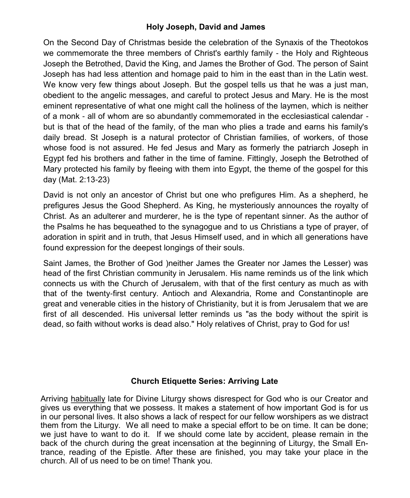#### **Holy Joseph, David and James**

On the Second Day of Christmas beside the celebration of the Synaxis of the Theotokos we commemorate the three members of Christ's earthly family - the Holy and Righteous Joseph the Betrothed, David the King, and James the Brother of God. The person of Saint Joseph has had less attention and homage paid to him in the east than in the Latin west. We know very few things about Joseph. But the gospel tells us that he was a just man, obedient to the angelic messages, and careful to protect Jesus and Mary. He is the most eminent representative of what one might call the holiness of the laymen, which is neither of a monk - all of whom are so abundantly commemorated in the ecclesiastical calendar but is that of the head of the family, of the man who plies a trade and earns his family's daily bread. St Joseph is a natural protector of Christian families, of workers, of those whose food is not assured. He fed Jesus and Mary as formerly the patriarch Joseph in Egypt fed his brothers and father in the time of famine. Fittingly, Joseph the Betrothed of Mary protected his family by fleeing with them into Egypt, the theme of the gospel for this day (Mat. 2:13-23)

David is not only an ancestor of Christ but one who prefigures Him. As a shepherd, he prefigures Jesus the Good Shepherd. As King, he mysteriously announces the royalty of Christ. As an adulterer and murderer, he is the type of repentant sinner. As the author of the Psalms he has bequeathed to the synagogue and to us Christians a type of prayer, of adoration in spirit and in truth, that Jesus Himself used, and in which all generations have found expression for the deepest longings of their souls.

Saint James, the Brother of God )neither James the Greater nor James the Lesser) was head of the first Christian community in Jerusalem. His name reminds us of the link which connects us with the Church of Jerusalem, with that of the first century as much as with that of the twenty-first century. Antioch and Alexandria, Rome and Constantinople are great and venerable cities in the history of Christianity, but it is from Jerusalem that we are first of all descended. His universal letter reminds us "as the body without the spirit is dead, so faith without works is dead also." Holy relatives of Christ, pray to God for us!

#### **Church Etiquette Series: Arriving Late**

Arriving habitually late for Divine Liturgy shows disrespect for God who is our Creator and gives us everything that we possess. It makes a statement of how important God is for us in our personal lives. It also shows a lack of respect for our fellow worshipers as we distract them from the Liturgy. We all need to make a special effort to be on time. It can be done; we just have to want to do it. If we should come late by accident, please remain in the back of the church during the great incensation at the beginning of Liturgy, the Small Entrance, reading of the Epistle. After these are finished, you may take your place in the church. All of us need to be on time! Thank you.